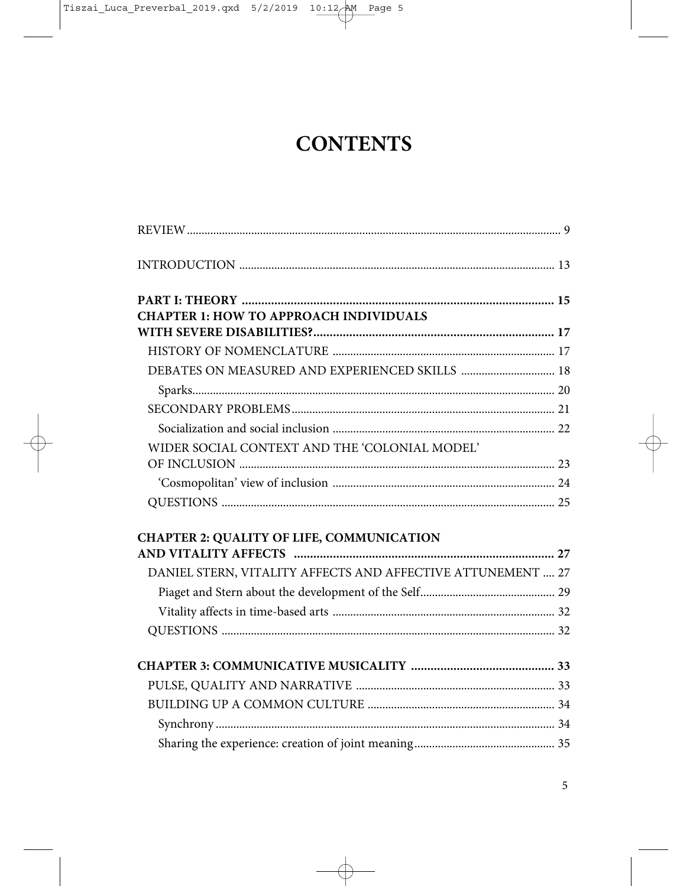## **CONTENTS**

| <b>CHAPTER 1: HOW TO APPROACH INDIVIDUALS</b>               |  |
|-------------------------------------------------------------|--|
|                                                             |  |
|                                                             |  |
| DEBATES ON MEASURED AND EXPERIENCED SKILLS  18              |  |
|                                                             |  |
|                                                             |  |
|                                                             |  |
| WIDER SOCIAL CONTEXT AND THE 'COLONIAL MODEL'               |  |
|                                                             |  |
|                                                             |  |
|                                                             |  |
| <b>CHAPTER 2: QUALITY OF LIFE, COMMUNICATION</b>            |  |
|                                                             |  |
| DANIEL STERN, VITALITY AFFECTS AND AFFECTIVE ATTUNEMENT  27 |  |
|                                                             |  |
|                                                             |  |
|                                                             |  |
|                                                             |  |
|                                                             |  |
|                                                             |  |
|                                                             |  |
|                                                             |  |
|                                                             |  |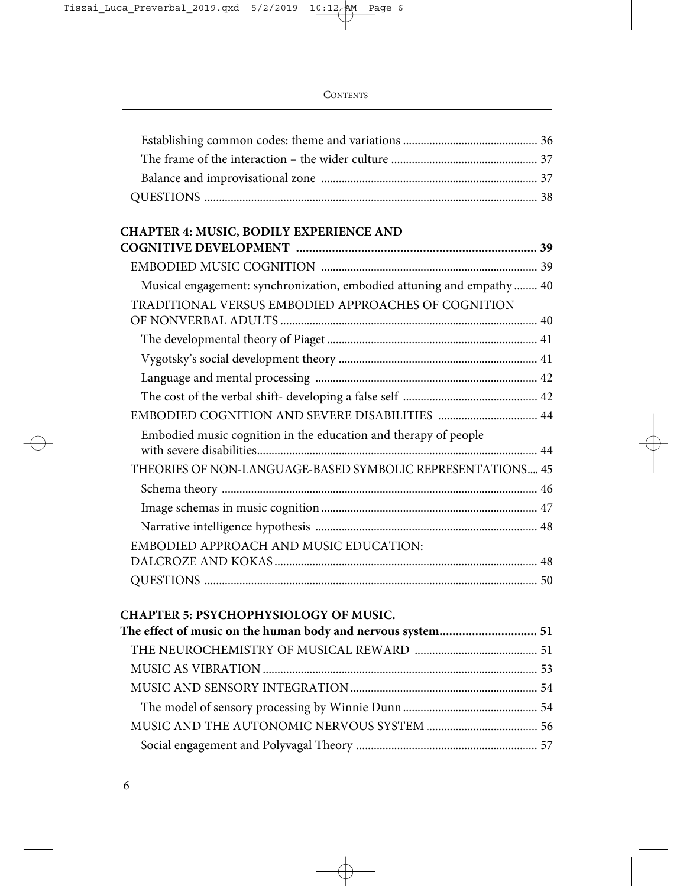## **CHAPTER 4: MUSIC, BODILY EXPERIENCE AND**

| Musical engagement: synchronization, embodied attuning and empathy 40 |  |
|-----------------------------------------------------------------------|--|
| TRADITIONAL VERSUS EMBODIED APPROACHES OF COGNITION                   |  |
|                                                                       |  |
|                                                                       |  |
|                                                                       |  |
|                                                                       |  |
|                                                                       |  |
| Embodied music cognition in the education and therapy of people       |  |
| THEORIES OF NON-LANGUAGE-BASED SYMBOLIC REPRESENTATIONS 45            |  |
|                                                                       |  |
|                                                                       |  |
|                                                                       |  |
| EMBODIED APPROACH AND MUSIC EDUCATION:                                |  |
|                                                                       |  |
|                                                                       |  |
|                                                                       |  |

# **CHAPTER 5: PSYCHOPHYSIOLOGY OF MUSIC.**

| The effect of music on the human body and nervous system 51 |  |
|-------------------------------------------------------------|--|
|                                                             |  |
|                                                             |  |
|                                                             |  |
|                                                             |  |
|                                                             |  |
|                                                             |  |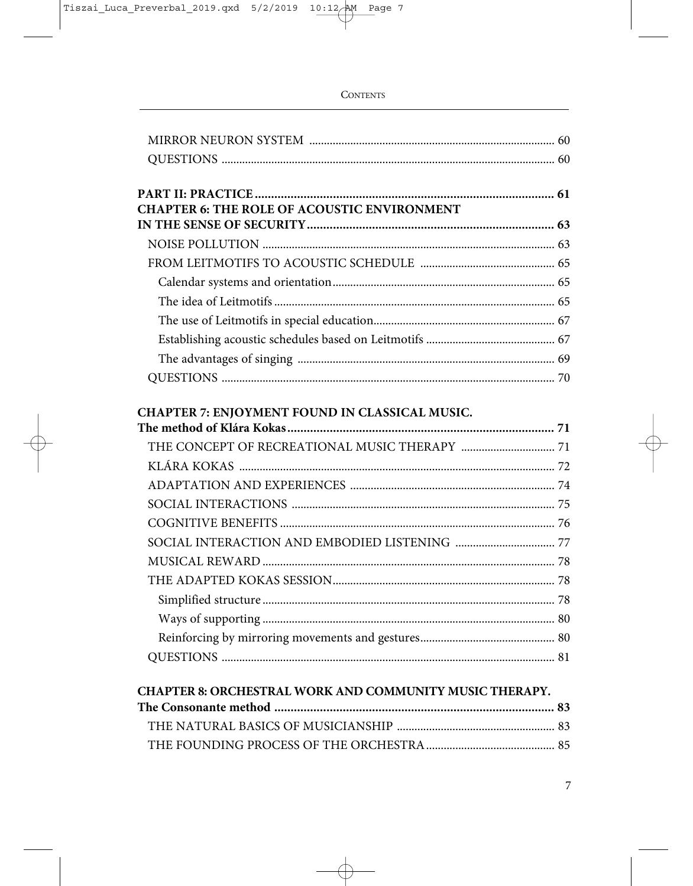| <b>CHAPTER 6: THE ROLE OF ACOUSTIC ENVIRONMENT</b>      |  |
|---------------------------------------------------------|--|
|                                                         |  |
|                                                         |  |
|                                                         |  |
|                                                         |  |
|                                                         |  |
|                                                         |  |
|                                                         |  |
|                                                         |  |
|                                                         |  |
| CHAPTER 7: ENJOYMENT FOUND IN CLASSICAL MUSIC.          |  |
|                                                         |  |
|                                                         |  |
|                                                         |  |
|                                                         |  |
|                                                         |  |
|                                                         |  |
|                                                         |  |
|                                                         |  |
|                                                         |  |
|                                                         |  |
|                                                         |  |
|                                                         |  |
| CHAPTER 8: ORCHESTRAL WORK AND COMMUNITY MUSIC THERAPY. |  |
|                                                         |  |
|                                                         |  |
|                                                         |  |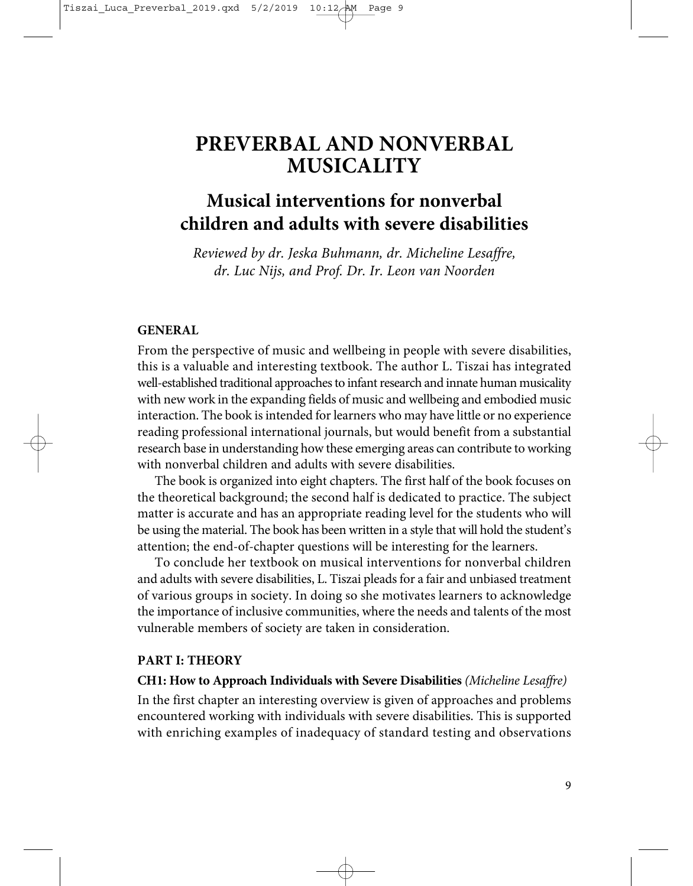### **PREVERBAL AND NONVERBAL MUSICALITY**

### **Musical interventions for nonverbal children and adults with severe disabilities**

*Reviewed by dr. Jeska Buhmann, dr. Micheline Lesaffre, dr. Luc Nijs, and Prof. Dr. Ir. Leon van Noorden* 

#### **GENERAL**

From the perspective of music and wellbeing in people with severe disabilities, this is a valuable and interesting textbook. The author L. Tiszai has integrated well-established traditional approaches to infant research and innate human musicality with new work in the expanding fields of music and wellbeing and embodied music interaction. The book is intended for learners who may have little or no experience reading professional international journals, but would benefit from a substantial research base in understanding how these emerging areas can contribute to working with nonverbal children and adults with severe disabilities.

The book is organized into eight chapters. The first half of the book focuses on the theoretical background; the second half is dedicated to practice. The subject matter is accurate and has an appropriate reading level for the students who will be using the material. The book has been written in a style that will hold the student's attention; the end-of-chapter questions will be interesting for the learners.

To conclude her textbook on musical interventions for nonverbal children and adults with severe disabilities, L. Tiszai pleads for a fair and unbiased treatment of various groups in society. In doing so she motivates learners to acknowledge the importance of inclusive communities, where the needs and talents of the most vulnerable members of society are taken in consideration.

#### **PART I: THEORY**

#### **CH1: How to Approach Individuals with Severe Disabilities** *(Micheline Lesaffre)*

In the first chapter an interesting overview is given of approaches and problems encountered working with individuals with severe disabilities. This is supported with enriching examples of inadequacy of standard testing and observations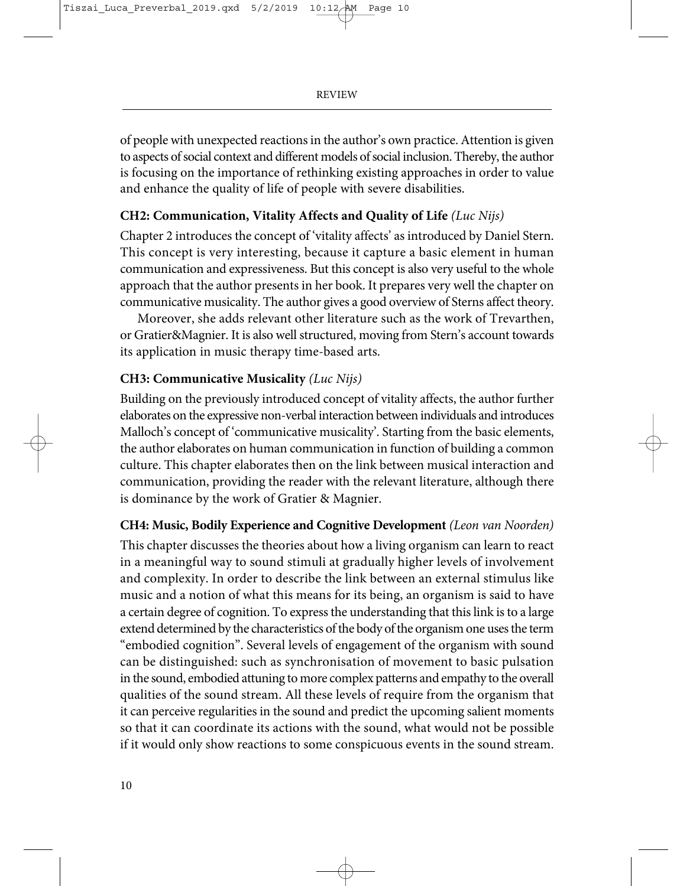of people with unexpected reactions in the author's own practice. Attention is given to aspects of social context and different models of social inclusion. Thereby, the author is focusing on the importance of rethinking existing approaches in order to value and enhance the quality of life of people with severe disabilities.

#### **CH2: Communication, Vitality Affects and Quality of Life** *(Luc Nijs)*

Chapter 2 introduces the concept of 'vitality affects' as introduced by Daniel Stern. This concept is very interesting, because it capture a basic element in human communication and expressiveness. But this concept is also very useful to the whole approach that the author presents in her book. It prepares very well the chapter on communicative musicality. The author gives a good overview of Sterns affect theory.

Moreover, she adds relevant other literature such as the work of Trevarthen, or Gratier&Magnier. It is also well structured, moving from Stern's account towards its application in music therapy time-based arts.

#### **CH3: Communicative Musicality** *(Luc Nijs)*

Building on the previously introduced concept of vitality affects, the author further elaborates on the expressive non-verbal interaction between individuals and introduces Malloch's concept of 'communicative musicality'. Starting from the basic elements, the author elaborates on human communication in function of building a common culture. This chapter elaborates then on the link between musical interaction and communication, providing the reader with the relevant literature, although there is dominance by the work of Gratier & Magnier.

#### **CH4: Music, Bodily Experience and Cognitive Development** *(Leon van Noorden)*

This chapter discusses the theories about how a living organism can learn to react in a meaningful way to sound stimuli at gradually higher levels of involvement and complexity. In order to describe the link between an external stimulus like music and a notion of what this means for its being, an organism is said to have a certain degree of cognition. To express the understanding that this link is to a large extend determined by the characteristics of the body of the organism one uses the term "embodied cognition". Several levels of engagement of the organism with sound can be distinguished: such as synchronisation of movement to basic pulsation in the sound, embodied attuning to more complex patterns and empathy to the overall qualities of the sound stream. All these levels of require from the organism that it can perceive regularities in the sound and predict the upcoming salient moments so that it can coordinate its actions with the sound, what would not be possible if it would only show reactions to some conspicuous events in the sound stream.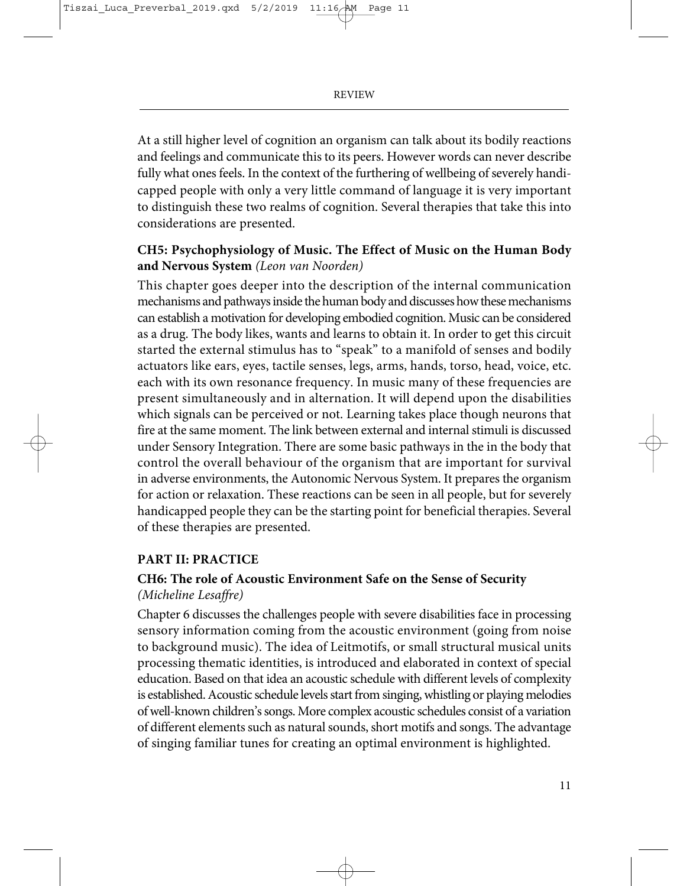At a still higher level of cognition an organism can talk about its bodily reactions and feelings and communicate this to its peers. However words can never describe fully what ones feels. In the context of the furthering of wellbeing of severely handicapped people with only a very little command of language it is very important to distinguish these two realms of cognition. Several therapies that take this into considerations are presented.

#### **CH5: Psychophysiology of Music. The Effect of Music on the Human Body and Nervous System** *(Leon van Noorden)*

This chapter goes deeper into the description of the internal communication mechanisms and pathways inside the human body and discusses how these mechanisms can establish a motivation for developing embodied cognition. Music can be considered as a drug. The body likes, wants and learns to obtain it. In order to get this circuit started the external stimulus has to "speak" to a manifold of senses and bodily actuators like ears, eyes, tactile senses, legs, arms, hands, torso, head, voice, etc. each with its own resonance frequency. In music many of these frequencies are present simultaneously and in alternation. It will depend upon the disabilities which signals can be perceived or not. Learning takes place though neurons that fire at the same moment. The link between external and internal stimuli is discussed under Sensory Integration. There are some basic pathways in the in the body that control the overall behaviour of the organism that are important for survival in adverse environments, the Autonomic Nervous System. It prepares the organism for action or relaxation. These reactions can be seen in all people, but for severely handicapped people they can be the starting point for beneficial therapies. Several of these therapies are presented.

#### **PART II: PRACTICE**

#### **CH6: The role of Acoustic Environment Safe on the Sense of Security** *(Micheline Lesaffre)*

Chapter 6 discusses the challenges people with severe disabilities face in processing sensory information coming from the acoustic environment (going from noise to background music). The idea of Leitmotifs, or small structural musical units processing thematic identities, is introduced and elaborated in context of special education. Based on that idea an acoustic schedule with different levels of complexity is established. Acoustic schedule levels start from singing, whistling or playing melodies of well-known children's songs. More complex acoustic schedules consist of a variation of different elements such as natural sounds, short motifs and songs. The advantage of singing familiar tunes for creating an optimal environment is highlighted.